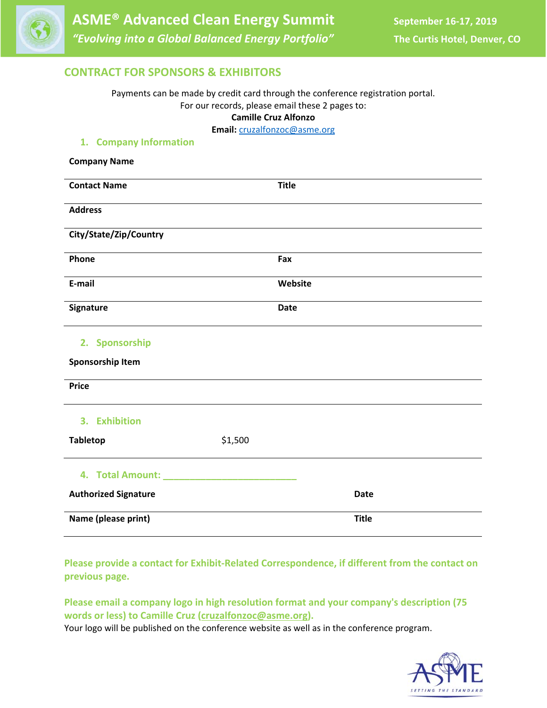

# **CONTRACT FOR SPONSORS & EXHIBITORS**

Payments can be made by credit card through the conference registration portal. For our records, please email these 2 pages to: **Camille Cruz Alfonzo**

**Email:** cruzalfonzoc@asme.org

# **1. Company Information Company Name Contact Name Title Address City/State/Zip/Country Phone Fax E‐mail Website Signature Date 2. Sponsorship Sponsorship Item Price 3. Exhibition Tabletop** \$1,500 **4. Total Amount: \_\_\_\_\_\_\_\_\_\_\_\_\_\_\_\_\_\_\_\_\_\_\_\_\_ Authorized Signature Date Name (please print) Title**

**Please provide a contact for Exhibit‐Related Correspondence, if different from the contact on previous page.**

**Please email a company logo in high resolution format and your company's description (75 words or less) to Camille Cruz (cruzalfonzoc@asme.org).**

Your logo will be published on the conference website as well as in the conference program.